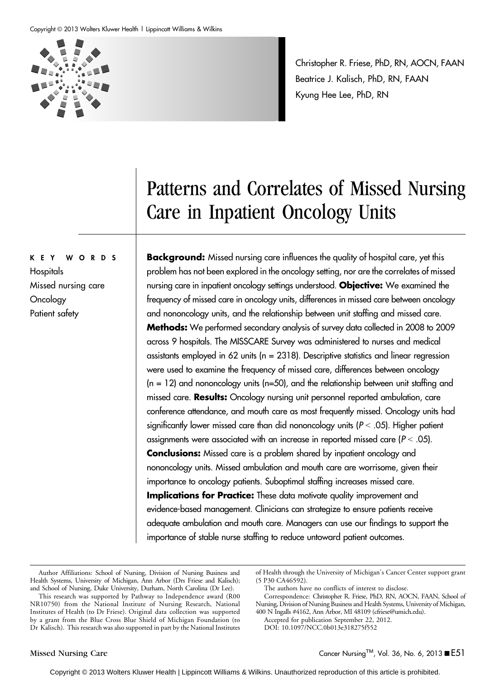

Christopher R. Friese, PhD, RN, AOCN, FAAN Beatrice J. Kalisch, PhD, RN, FAAN Kyung Hee Lee, PhD, RN

# Patterns and Correlates of Missed Nursing Care in Inpatient Oncology Units

KEY WORDS Hospitals Missed nursing care **Oncology** Patient safety

**Background:** Missed nursing care influences the quality of hospital care, yet this problem has not been explored in the oncology setting, nor are the correlates of missed nursing care in inpatient oncology settings understood. Objective: We examined the frequency of missed care in oncology units, differences in missed care between oncology and nononcology units, and the relationship between unit staffing and missed care. Methods: We performed secondary analysis of survey data collected in 2008 to 2009 across 9 hospitals. The MISSCARE Survey was administered to nurses and medical assistants employed in 62 units (n = 2318). Descriptive statistics and linear regression were used to examine the frequency of missed care, differences between oncology  $(n = 12)$  and nononcology units  $(n=50)$ , and the relationship between unit staffing and missed care. **Results:** Oncology nursing unit personnel reported ambulation, care conference attendance, and mouth care as most frequently missed. Oncology units had significantly lower missed care than did nononcology units ( $P < .05$ ). Higher patient assignments were associated with an increase in reported missed care ( $P < .05$ ). **Conclusions:** Missed care is a problem shared by inpatient oncology and nononcology units. Missed ambulation and mouth care are worrisome, given their importance to oncology patients. Suboptimal staffing increases missed care. **Implications for Practice:** These data motivate quality improvement and evidence-based management. Clinicians can strategize to ensure patients receive adequate ambulation and mouth care. Managers can use our findings to support the importance of stable nurse staffing to reduce untoward patient outcomes.

Author Affiliations: School of Nursing, Division of Nursing Business and Health Systems, University of Michigan, Ann Arbor (Drs Friese and Kalisch); and School of Nursing, Duke University, Durham, North Carolina (Dr Lee).

of Health through the University of Michigan's Cancer Center support grant (5 P30 CA46592).

The authors have no conflicts of interest to disclose.

Correspondence: Christopher R. Friese, PhD, RN, AOCN, FAAN, School of Nursing, Division of Nursing Business and Health Systems, University of Michigan, 400 N Ingalls #4162, Ann Arbor, MI 48109 ([cfriese@umich.edu\)](mailto:cfriese@umich.edu).

Accepted for publication September 22, 2012. DOI: 10.1097/NCC.0b013e318275f552

This research was supported by Pathway to Independence award (R00 NR10750) from the National Institute of Nursing Research, National Institutes of Health (to Dr Friese). Original data collection was supported by a grant from the Blue Cross Blue Shield of Michigan Foundation (to Dr Kalisch). This research was also supported in part by the National Institutes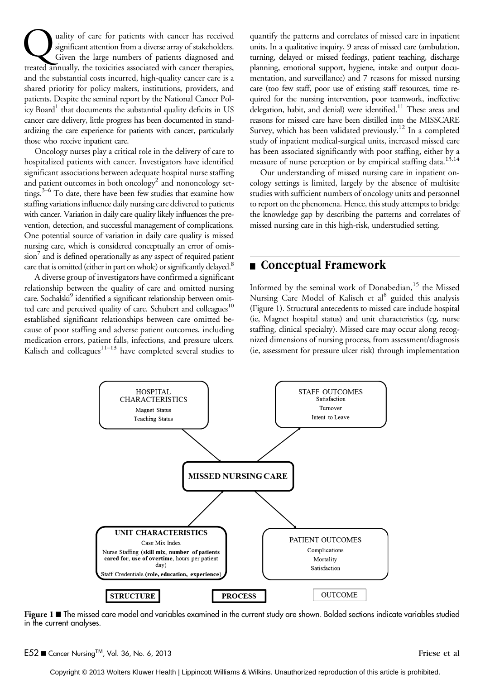Quality of care for patients with cancer has received<br>
Given the large numbers of patients diagnosed and<br>
Given the large numbers of patients diagnosed and significant attention from a diverse array of stakeholders. treated annually, the toxicities associated with cancer therapies, and the substantial costs incurred, high-quality cancer care is a shared priority for policy makers, institutions, providers, and patients. Despite the seminal report by the National Cancer Policy Board<sup>1</sup> that documents the substantial quality deficits in US cancer care delivery, little progress has been documented in standardizing the care experience for patients with cancer, particularly those who receive inpatient care.

Oncology nurses play a critical role in the delivery of care to hospitalized patients with cancer. Investigators have identified significant associations between adequate hospital nurse staffing and patient outcomes in both oncology<sup>2</sup> and nononcology settings. $3-6$  To date, there have been few studies that examine how staffing variations influence daily nursing care delivered to patients with cancer. Variation in daily care quality likely influences the prevention, detection, and successful management of complications. One potential source of variation in daily care quality is missed nursing care, which is considered conceptually an error of omission<sup>7</sup> and is defined operationally as any aspect of required patient care that is omitted (either in part on whole) or significantly delayed.<sup>8</sup>

A diverse group of investigators have confirmed a significant relationship between the quality of care and omitted nursing care. Sochalski<sup>9</sup> identified a significant relationship between omitted care and perceived quality of care. Schubert and colleagues<sup>10</sup> established significant relationships between care omitted because of poor staffing and adverse patient outcomes, including medication errors, patient falls, infections, and pressure ulcers. Kalisch and colleagues $11-13$  have completed several studies to quantify the patterns and correlates of missed care in inpatient units. In a qualitative inquiry, 9 areas of missed care (ambulation, turning, delayed or missed feedings, patient teaching, discharge planning, emotional support, hygiene, intake and output documentation, and surveillance) and 7 reasons for missed nursing care (too few staff, poor use of existing staff resources, time required for the nursing intervention, poor teamwork, ineffective delegation, habit, and denial) were identified.<sup>11</sup> These areas and reasons for missed care have been distilled into the MISSCARE Survey, which has been validated previously.<sup>12</sup> In a completed study of inpatient medical-surgical units, increased missed care has been associated significantly with poor staffing, either by a measure of nurse perception or by empirical staffing data.<sup>13,14</sup>

Our understanding of missed nursing care in inpatient oncology settings is limited, largely by the absence of multisite studies with sufficient numbers of oncology units and personnel to report on the phenomena. Hence, this study attempts to bridge the knowledge gap by describing the patterns and correlates of missed nursing care in this high-risk, understudied setting.

# ■ Conceptual Framework

Informed by the seminal work of Donabedian, $15$  the Missed Nursing Care Model of Kalisch et al<sup>8</sup> guided this analysis (Figure 1). Structural antecedents to missed care include hospital (ie, Magnet hospital status) and unit characteristics (eg, nurse staffing, clinical specialty). Missed care may occur along recognized dimensions of nursing process, from assessment/diagnosis (ie, assessment for pressure ulcer risk) through implementation



Figure  $1 \blacksquare$  The missed care model and variables examined in the current study are shown. Bolded sections indicate variables studied in the current analyses.

E52 ■ Cancer Nursing™, Vol. 36, No. 6, 2013 **Friese** et al. **Friese** et al. **Friese** et al. **Friese** et al. **Friese** et al.

Copyright © 2013 Wolters Kluwer Health | Lippincott Williams & Wilkins. Unauthorized reproduction of this article is prohibited.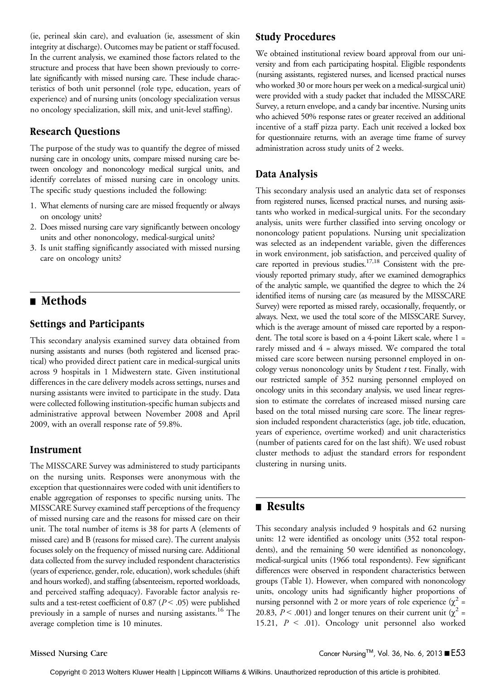(ie, perineal skin care), and evaluation (ie, assessment of skin integrity at discharge). Outcomes may be patient or staff focused. In the current analysis, we examined those factors related to the structure and process that have been shown previously to correlate significantly with missed nursing care. These include characteristics of both unit personnel (role type, education, years of experience) and of nursing units (oncology specialization versus no oncology specialization, skill mix, and unit-level staffing).

#### Research Questions

The purpose of the study was to quantify the degree of missed nursing care in oncology units, compare missed nursing care between oncology and nononcology medical surgical units, and identify correlates of missed nursing care in oncology units. The specific study questions included the following:

- 1. What elements of nursing care are missed frequently or always on oncology units?
- 2. Does missed nursing care vary significantly between oncology units and other nononcology, medical-surgical units?
- 3. Is unit staffing significantly associated with missed nursing care on oncology units?

# ■ Methods

#### Settings and Participants

This secondary analysis examined survey data obtained from nursing assistants and nurses (both registered and licensed practical) who provided direct patient care in medical-surgical units across 9 hospitals in 1 Midwestern state. Given institutional differences in the care delivery models across settings, nurses and nursing assistants were invited to participate in the study. Data were collected following institution-specific human subjects and administrative approval between November 2008 and April 2009, with an overall response rate of 59.8%.

#### Instrument

The MISSCARE Survey was administered to study participants on the nursing units. Responses were anonymous with the exception that questionnaires were coded with unit identifiers to enable aggregation of responses to specific nursing units. The MISSCARE Survey examined staff perceptions of the frequency of missed nursing care and the reasons for missed care on their unit. The total number of items is 38 for parts A (elements of missed care) and B (reasons for missed care). The current analysis focuses solely on the frequency of missed nursing care. Additional data collected from the survey included respondent characteristics (years of experience, gender, role, education), work schedules (shift and hours worked), and staffing (absenteeism, reported workloads, and perceived staffing adequacy). Favorable factor analysis results and a test-retest coefficient of 0.87 ( $P < .05$ ) were published previously in a sample of nurses and nursing assistants.<sup>16</sup> The average completion time is 10 minutes.

### Study Procedures

We obtained institutional review board approval from our university and from each participating hospital. Eligible respondents (nursing assistants, registered nurses, and licensed practical nurses who worked 30 or more hours per week on a medical-surgical unit) were provided with a study packet that included the MISSCARE Survey, a return envelope, and a candy bar incentive. Nursing units who achieved 50% response rates or greater received an additional incentive of a staff pizza party. Each unit received a locked box for questionnaire returns, with an average time frame of survey administration across study units of 2 weeks.

## Data Analysis

This secondary analysis used an analytic data set of responses from registered nurses, licensed practical nurses, and nursing assistants who worked in medical-surgical units. For the secondary analysis, units were further classified into serving oncology or nononcology patient populations. Nursing unit specialization was selected as an independent variable, given the differences in work environment, job satisfaction, and perceived quality of care reported in previous studies.<sup>17,18</sup> Consistent with the previously reported primary study, after we examined demographics of the analytic sample, we quantified the degree to which the 24 identified items of nursing care (as measured by the MISSCARE Survey) were reported as missed rarely, occasionally, frequently, or always. Next, we used the total score of the MISSCARE Survey, which is the average amount of missed care reported by a respondent. The total score is based on a 4-point Likert scale, where 1 = rarely missed and 4 = always missed. We compared the total missed care score between nursing personnel employed in oncology versus nononcology units by Student  $t$  test. Finally, with our restricted sample of 352 nursing personnel employed on oncology units in this secondary analysis, we used linear regression to estimate the correlates of increased missed nursing care based on the total missed nursing care score. The linear regression included respondent characteristics (age, job title, education, years of experience, overtime worked) and unit characteristics (number of patients cared for on the last shift). We used robust cluster methods to adjust the standard errors for respondent clustering in nursing units.

# **n** Results

This secondary analysis included 9 hospitals and 62 nursing units: 12 were identified as oncology units (352 total respondents), and the remaining 50 were identified as nononcology, medical-surgical units (1966 total respondents). Few significant differences were observed in respondent characteristics between groups (Table 1). However, when compared with nononcology units, oncology units had significantly higher proportions of nursing personnel with 2 or more years of role experience ( $\chi^2$  = 20.83, P < .001) and longer tenures on their current unit ( $\chi^2$  = 15.21,  $P < .01$ ). Oncology unit personnel also worked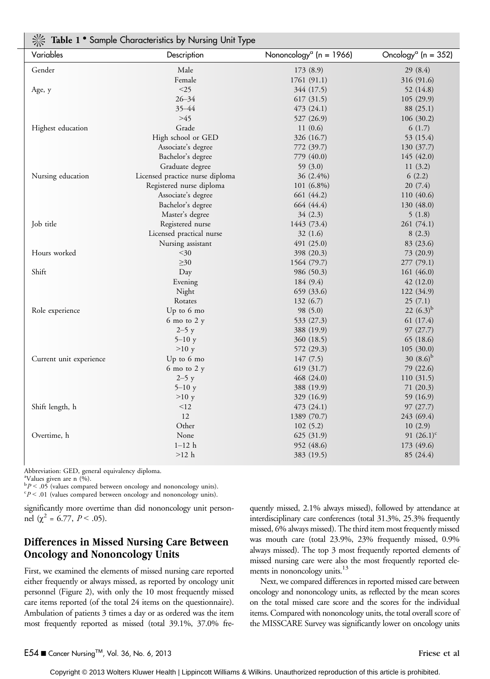| Table 1 . Sample Characteristics by Nursing Unit Type |                                 |                                     |                                                   |  |  |  |  |
|-------------------------------------------------------|---------------------------------|-------------------------------------|---------------------------------------------------|--|--|--|--|
| Variables                                             | Description                     | Nononcology <sup>a</sup> (n = 1966) | Oncology <sup><math>\alpha</math></sup> (n = 352) |  |  |  |  |
| Gender                                                | Male                            | 173 (8.9)                           | 29 (8.4)                                          |  |  |  |  |
|                                                       | Female                          | 1761 (91.1)                         | 316 (91.6)                                        |  |  |  |  |
| Age, y                                                | $<$ 25                          | 344 (17.5)                          | 52 (14.8)                                         |  |  |  |  |
|                                                       | $26 - 34$                       | 617(31.5)                           | 105(29.9)                                         |  |  |  |  |
|                                                       | $35 - 44$                       | 473(24.1)                           | 88 (25.1)                                         |  |  |  |  |
|                                                       | $>45$                           | 527 (26.9)                          | 106(30.2)                                         |  |  |  |  |
| Highest education                                     | Grade                           | 11(0.6)                             | 6(1.7)                                            |  |  |  |  |
|                                                       | High school or GED              | 326 (16.7)                          | 53 (15.4)                                         |  |  |  |  |
|                                                       | Associate's degree              | 772 (39.7)                          | 130 (37.7)                                        |  |  |  |  |
|                                                       | Bachelor's degree               | 779 (40.0)                          | 145 (42.0)                                        |  |  |  |  |
|                                                       | Graduate degree                 | 59 $(3.0)$                          | 11(3.2)                                           |  |  |  |  |
| Nursing education                                     | Licensed practice nurse diploma | 36 (2.4%)                           | 6(2.2)                                            |  |  |  |  |
|                                                       | Registered nurse diploma        | 101 (6.8%)                          | 20(7.4)                                           |  |  |  |  |
|                                                       | Associate's degree              | 661 (44.2)                          | 110 (40.6)                                        |  |  |  |  |
|                                                       | Bachelor's degree               | 664 (44.4)                          | 130 (48.0)                                        |  |  |  |  |
|                                                       | Master's degree                 | 34(2.3)                             | 5(1.8)                                            |  |  |  |  |
| Job title                                             | Registered nurse                | 1443 (73.4)                         | 261(74.1)                                         |  |  |  |  |
|                                                       | Licensed practical nurse        | 32(1.6)                             | 8(2.3)                                            |  |  |  |  |
|                                                       | Nursing assistant               | 491 (25.0)                          | 83 (23.6)                                         |  |  |  |  |
| Hours worked                                          | $30$                            | 398 (20.3)                          | 73 (20.9)                                         |  |  |  |  |
|                                                       | $\geq 30$                       | 1564 (79.7)                         | 277(79.1)                                         |  |  |  |  |
| Shift                                                 | Day                             | 986 (50.3)                          | 161 (46.0)                                        |  |  |  |  |
|                                                       | Evening                         | 184 (9.4)                           | 42(12.0)                                          |  |  |  |  |
|                                                       | Night                           | 659 (33.6)                          | 122 (34.9)                                        |  |  |  |  |
|                                                       | Rotates                         | 132(6.7)                            | 25(7.1)                                           |  |  |  |  |
| Role experience                                       | Up to 6 mo                      | 98 (5.0)                            | 22 $(6.3)^{b}$                                    |  |  |  |  |
|                                                       | 6 mo to 2 y                     | 533 (27.3)                          | 61 (17.4)                                         |  |  |  |  |
|                                                       | $2 - 5 y$                       | 388 (19.9)                          | 97 (27.7)                                         |  |  |  |  |
|                                                       | $5 - 10y$                       | 360 (18.5)                          | 65 (18.6)                                         |  |  |  |  |
|                                                       | >10 y                           | 572 (29.3)                          | 105(30.0)                                         |  |  |  |  |
| Current unit experience                               | Up to $6 \text{ mo}$            | 147(7.5)                            | 30 $(8.6)^{b}$                                    |  |  |  |  |
|                                                       | 6 mo to 2 $y$                   | 619 (31.7)                          | 79 (22.6)                                         |  |  |  |  |
|                                                       | $2 - 5 y$                       | 468 (24.0)                          | 110(31.5)                                         |  |  |  |  |
|                                                       | $5 - 10y$                       | 388 (19.9)                          | 71 (20.3)                                         |  |  |  |  |
|                                                       | >10 y                           | 329 (16.9)                          | 59 (16.9)                                         |  |  |  |  |
| Shift length, h                                       | <12                             | 473 (24.1)                          | 97 (27.7)                                         |  |  |  |  |
|                                                       | 12                              | 1389 (70.7)                         | 243 (69.4)                                        |  |  |  |  |
|                                                       | Other                           | 102(5.2)                            | 10(2.9)                                           |  |  |  |  |
| Overtime, h                                           | None                            | 625(31.9)                           | 91 $(26.1)^c$                                     |  |  |  |  |
|                                                       | $1-12$ h                        | 952 (48.6)                          | 173 (49.6)                                        |  |  |  |  |
|                                                       | $>12$ h                         | 383 (19.5)                          | 85 (24.4)                                         |  |  |  |  |

Abbreviation: GED, general equivalency diploma.

<sup>a</sup>Values given are n (%).

 $b_P < .05$  (values compared between oncology and nononcology units).

 $P < 0.01$  (values compared between oncology and nononcology units).

significantly more overtime than did nononcology unit personnel ( $\chi^2$  = 6.77,  $P < .05$ ).

### Differences in Missed Nursing Care Between Oncology and Nononcology Units

First, we examined the elements of missed nursing care reported either frequently or always missed, as reported by oncology unit personnel (Figure 2), with only the 10 most frequently missed care items reported (of the total 24 items on the questionnaire). Ambulation of patients 3 times a day or as ordered was the item most frequently reported as missed (total 39.1%, 37.0% frequently missed, 2.1% always missed), followed by attendance at interdisciplinary care conferences (total 31.3%, 25.3% frequently missed, 6% always missed). The third item most frequently missed was mouth care (total 23.9%, 23% frequently missed, 0.9% always missed). The top 3 most frequently reported elements of missed nursing care were also the most frequently reported elements in nononcology units.<sup>13</sup>

Next, we compared differences in reported missed care between oncology and nononcology units, as reflected by the mean scores on the total missed care score and the scores for the individual items. Compared with nononcology units, the total overall score of the MISSCARE Survey was significantly lower on oncology units

Copyright © 2013 Wolters Kluwer Health | Lippincott Williams & Wilkins. Unauthorized reproduction of this article is prohibited.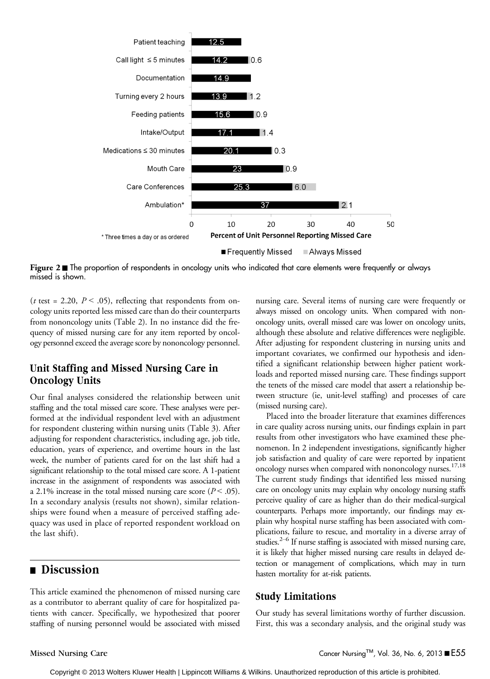

Figure  $2 \blacksquare$  The proportion of respondents in oncology units who indicated that care elements were frequently or always missed is shown.

(*t* test = 2.20,  $P < .05$ ), reflecting that respondents from oncology units reported less missed care than do their counterparts from nononcology units (Table 2). In no instance did the frequency of missed nursing care for any item reported by oncology personnel exceed the average score by nononcology personnel.

#### Unit Staffing and Missed Nursing Care in Oncology Units

Our final analyses considered the relationship between unit staffing and the total missed care score. These analyses were performed at the individual respondent level with an adjustment for respondent clustering within nursing units (Table 3). After adjusting for respondent characteristics, including age, job title, education, years of experience, and overtime hours in the last week, the number of patients cared for on the last shift had a significant relationship to the total missed care score. A 1-patient increase in the assignment of respondents was associated with a 2.1% increase in the total missed nursing care score  $(P < .05)$ . In a secondary analysis (results not shown), similar relationships were found when a measure of perceived staffing adequacy was used in place of reported respondent workload on the last shift).

### **n** Discussion

This article examined the phenomenon of missed nursing care as a contributor to aberrant quality of care for hospitalized patients with cancer. Specifically, we hypothesized that poorer staffing of nursing personnel would be associated with missed

nursing care. Several items of nursing care were frequently or always missed on oncology units. When compared with nononcology units, overall missed care was lower on oncology units, although these absolute and relative differences were negligible. After adjusting for respondent clustering in nursing units and important covariates, we confirmed our hypothesis and identified a significant relationship between higher patient workloads and reported missed nursing care. These findings support the tenets of the missed care model that assert a relationship between structure (ie, unit-level staffing) and processes of care (missed nursing care).

Placed into the broader literature that examines differences in care quality across nursing units, our findings explain in part results from other investigators who have examined these phenomenon. In 2 independent investigations, significantly higher job satisfaction and quality of care were reported by inpatient oncology nurses when compared with nononcology nurses.<sup>17,18</sup> The current study findings that identified less missed nursing care on oncology units may explain why oncology nursing staffs perceive quality of care as higher than do their medical-surgical counterparts. Perhaps more importantly, our findings may explain why hospital nurse staffing has been associated with complications, failure to rescue, and mortality in a diverse array of studies. $2^{-6}$  If nurse staffing is associated with missed nursing care, it is likely that higher missed nursing care results in delayed detection or management of complications, which may in turn hasten mortality for at-risk patients.

#### Study Limitations

Our study has several limitations worthy of further discussion. First, this was a secondary analysis, and the original study was

Missed Nursing Care Care Cancer Nursing™, Vol. 36, No. 6, 2013 ■ E55

Copyright © 2013 Wolters Kluwer Health | Lippincott Williams & Wilkins. Unauthorized reproduction of this article is prohibited.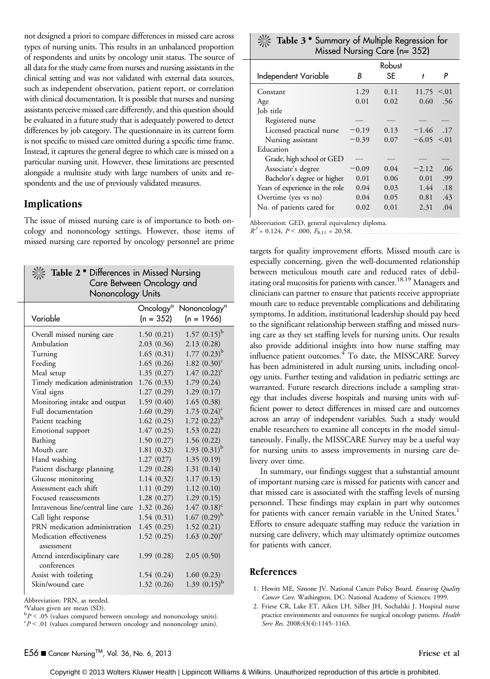not designed a priori to compare differences in missed care across types of nursing units. This results in an unbalanced proportion of respondents and units by oncology unit status. The source of all data for the study came from nurses and nursing assistants in the clinical setting and was not validated with external data sources, such as independent observation, patient report, or correlation with clinical documentation. It is possible that nurses and nursing assistants perceive missed care differently, and this question should be evaluated in a future study that is adequately powered to detect differences by job category. The questionnaire in its current form is not specific to missed care omitted during a specific time frame. Instead, it captures the general degree to which care is missed on a particular nursing unit. However, these limitations are presented alongside a multisite study with large numbers of units and respondents and the use of previously validated measures.

#### Implications

The issue of missed nursing care is of importance to both oncology and nononcology settings. However, those items of missed nursing care reported by oncology personnel are prime

| Table 2 · Differences in Missed Nursing<br>Care Between Oncology and<br>Nononcology Units |             |                                                                |  |  |
|-------------------------------------------------------------------------------------------|-------------|----------------------------------------------------------------|--|--|
| Variable                                                                                  | $(n = 352)$ | Oncology <sup>a</sup> Nononcology <sup>a</sup><br>$(n = 1966)$ |  |  |
| Overall missed nursing care                                                               | 1.50(0.21)  | $1.57 (0.15)^{b}$                                              |  |  |
| Ambulation                                                                                | 2.03(0.36)  | 2.13(0.28)                                                     |  |  |
| Turning                                                                                   | 1.65(0.31)  | $1.77 (0.23)^{b}$                                              |  |  |
| Feeding                                                                                   | 1.65(0.26)  | 1.82 $(0.30)^c$                                                |  |  |
| Meal setup                                                                                | 1.35(0.27)  | $1.47~(0.22)^c$                                                |  |  |
| Timely medication administration                                                          | 1.76(0.33)  | 1.79(0.24)                                                     |  |  |
| Vital signs                                                                               | 1.27(0.29)  | 1.29(0.17)                                                     |  |  |
| Monitoring intake and output                                                              | 1.59(0.40)  | 1.65(0.38)                                                     |  |  |
| Full documentation                                                                        | 1.60(0.29)  | $1.73 (0.24)^c$                                                |  |  |
| Patient teaching                                                                          | 1.62(0.25)  | 1.72 $(0.22)^{b}$                                              |  |  |
| Emotional support                                                                         | 1.47(0.25)  | 1.53(0.22)                                                     |  |  |
| Bathing                                                                                   | 1.50(0.27)  | 1.56(0.22)                                                     |  |  |
| Mouth care                                                                                | 1.81(0.32)  | 1.93 $(0.31)^{b}$                                              |  |  |
| Hand washing                                                                              | 1.27(027)   | 1.35(0.19)                                                     |  |  |
| Patient discharge planning                                                                | 1.29(0.28)  | 1.31(0.14)                                                     |  |  |
| Glucose monitoring                                                                        | 1.14(0.32)  | 1.17(0.13)                                                     |  |  |
| Assessment each shift                                                                     | 1.11(0.29)  | 1.12(0.10)                                                     |  |  |
| Focused reassessments                                                                     | 1.28(0.27)  | 1.29(0.15)                                                     |  |  |
| Intravenous line/central line care                                                        | 1.32(0.26)  | $1.47~(0.18)^c$                                                |  |  |
| Call light response                                                                       | 1.54(0.31)  | $1.67 (0.29)^{b}$                                              |  |  |
| PRN medication administration                                                             | 1.45(0.25)  | 1.52(0.21)                                                     |  |  |
| Medication effectiveness<br>assessment                                                    | 1.52(0.25)  | $1.63 (0.20)^c$                                                |  |  |
| Attend interdisciplinary care<br>conferences                                              | 1.99(0.28)  | 2.05(0.50)                                                     |  |  |
| Assist with toileting                                                                     | 1.54(0.24)  | 1.60(0.23)                                                     |  |  |
| Skin/wound care                                                                           | 1.32(0.26)  | 1.39 $(0.15)^{b}$                                              |  |  |

Abbreviation: PRN, as needed.

a Values given are mean (SD).

 $b_P < .05$  (values compared between oncology and nononcology units).  ${}^{c}P$   $\leq$  .01 (values compared between oncology and nononcology units).  $\gg$  Table 3  $\bullet$  Summary of Multiple Regression for Missed Nursing Care (n= 352)

|                                 |         | Robust |         |             |
|---------------------------------|---------|--------|---------|-------------|
| Independent Variable            | В       | SE     | t       | Р           |
| Constant                        | 1.29    | 0.11   | 11.75   | $\leq 0.01$ |
| Age                             | 0.01    | 0.02   | 0.60    | .56         |
| Job title                       |         |        |         |             |
| Registered nurse                |         |        |         |             |
| Licensed practical nurse        | $-0.19$ | 0.13   | $-1.46$ | .17         |
| Nursing assistant               | $-0.39$ | 0.07   | $-6.05$ | < 0.01      |
| Education                       |         |        |         |             |
| Grade, high school or GED       |         |        |         |             |
| Associate's degree              | $-0.09$ | 0.04   | $-2.12$ | .06         |
| Bachelor's degree or higher     | 0.01    | 0.06   | 0.01    | .99         |
| Years of experience in the role | 0.04    | 0.03   | 1.44    | .18         |
| Overtime (yes vs no)            | 0.04    | 0.05   | 0.81    | .43         |
| No. of patients cared for       | 0.02    | 0.01   | 2.31    | .04         |
|                                 |         |        |         |             |

Abbreviation: GED, general equivalency diploma.

 $R^2 = 0.124$ ,  $P < .000$ ,  $F_{8,11} = 20.58$ .

targets for quality improvement efforts. Missed mouth care is especially concerning, given the well-documented relationship between meticulous mouth care and reduced rates of debilitating oral mucositis for patients with cancer.<sup>18,19</sup> Managers and clinicians can partner to ensure that patients receive appropriate mouth care to reduce preventable complications and debilitating symptoms. In addition, institutional leadership should pay heed to the significant relationship between staffing and missed nursing care as they set staffing levels for nursing units. Our results also provide additional insights into how nurse staffing may influence patient outcomes.<sup>4</sup> To date, the MISSCARE Survey has been administered in adult nursing units, including oncology units. Further testing and validation in pediatric settings are warranted. Future research directions include a sampling strategy that includes diverse hospitals and nursing units with sufficient power to detect differences in missed care and outcomes across an array of independent variables. Such a study would enable researchers to examine all concepts in the model simultaneously. Finally, the MISSCARE Survey may be a useful way for nursing units to assess improvements in nursing care delivery over time.

In summary, our findings suggest that a substantial amount of important nursing care is missed for patients with cancer and that missed care is associated with the staffing levels of nursing personnel. These findings may explain in part why outcomes for patients with cancer remain variable in the United States.<sup>1</sup> Efforts to ensure adequate staffing may reduce the variation in nursing care delivery, which may ultimately optimize outcomes for patients with cancer.

#### References

- 1. Hewitt ME, Simone JV. National Cancer Policy Board. Ensuring Quality Cancer Care. Washington, DC: National Academy of Sciences; 1999.
- 2. Friese CR, Lake ET, Aiken LH, Silber JH, Sochalski J. Hospital nurse practice environments and outcomes for surgical oncology patients. Health Serv Res. 2008;43(4):1145-1163.